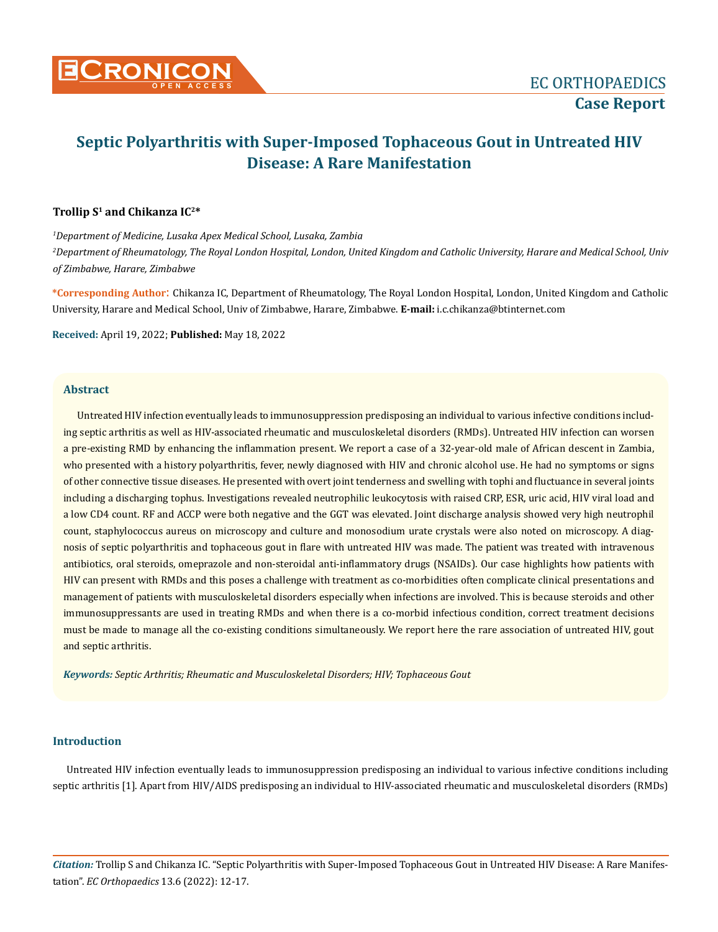

# **Septic Polyarthritis with Super-Imposed Tophaceous Gout in Untreated HIV Disease: A Rare Manifestation**

### **Trollip S1 and Chikanza IC2\***

*1 Department of Medicine, Lusaka Apex Medical School, Lusaka, Zambia 2 Department of Rheumatology, The Royal London Hospital, London, United Kingdom and Catholic University, Harare and Medical School, Univ of Zimbabwe, Harare, Zimbabwe*

**\*Corresponding Author**: Chikanza IC, Department of Rheumatology, The Royal London Hospital, London, United Kingdom and Catholic University, Harare and Medical School, Univ of Zimbabwe, Harare, Zimbabwe. **E-mail:** [i.c.chikanza@btinternet.com](mailto:i.c.chikanza@btinternet.com)

**Received:** April 19, 2022; **Published:** May 18, 2022

## **Abstract**

Untreated HIV infection eventually leads to immunosuppression predisposing an individual to various infective conditions including septic arthritis as well as HIV-associated rheumatic and musculoskeletal disorders (RMDs). Untreated HIV infection can worsen a pre-existing RMD by enhancing the inflammation present. We report a case of a 32-year-old male of African descent in Zambia, who presented with a history polyarthritis, fever, newly diagnosed with HIV and chronic alcohol use. He had no symptoms or signs of other connective tissue diseases. He presented with overt joint tenderness and swelling with tophi and fluctuance in several joints including a discharging tophus. Investigations revealed neutrophilic leukocytosis with raised CRP, ESR, uric acid, HIV viral load and a low CD4 count. RF and ACCP were both negative and the GGT was elevated. Joint discharge analysis showed very high neutrophil count, staphylococcus aureus on microscopy and culture and monosodium urate crystals were also noted on microscopy. A diagnosis of septic polyarthritis and tophaceous gout in flare with untreated HIV was made. The patient was treated with intravenous antibiotics, oral steroids, omeprazole and non-steroidal anti-inflammatory drugs (NSAIDs). Our case highlights how patients with HIV can present with RMDs and this poses a challenge with treatment as co-morbidities often complicate clinical presentations and management of patients with musculoskeletal disorders especially when infections are involved. This is because steroids and other immunosuppressants are used in treating RMDs and when there is a co-morbid infectious condition, correct treatment decisions must be made to manage all the co-existing conditions simultaneously. We report here the rare association of untreated HIV, gout and septic arthritis.

*Keywords: Septic Arthritis; Rheumatic and Musculoskeletal Disorders; HIV; Tophaceous Gout*

## **Introduction**

Untreated HIV infection eventually leads to immunosuppression predisposing an individual to various infective conditions including septic arthritis [1]. Apart from HIV/AIDS predisposing an individual to HIV-associated rheumatic and musculoskeletal disorders (RMDs)

*Citation:* Trollip S and Chikanza IC. "Septic Polyarthritis with Super-Imposed Tophaceous Gout in Untreated HIV Disease: A Rare Manifestation". *EC Orthopaedics* 13.6 (2022): 12-17.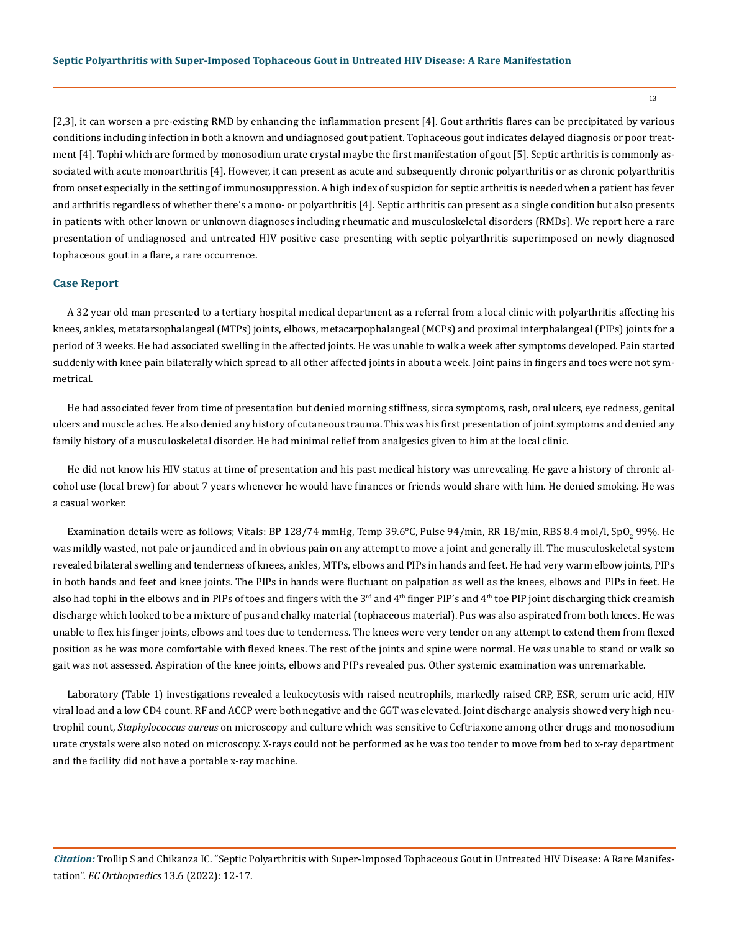[2,3], it can worsen a pre-existing RMD by enhancing the inflammation present [4]. Gout arthritis flares can be precipitated by various conditions including infection in both a known and undiagnosed gout patient. Tophaceous gout indicates delayed diagnosis or poor treatment [4]. Tophi which are formed by monosodium urate crystal maybe the first manifestation of gout [5]. Septic arthritis is commonly associated with acute monoarthritis [4]. However, it can present as acute and subsequently chronic polyarthritis or as chronic polyarthritis from onset especially in the setting of immunosuppression. A high index of suspicion for septic arthritis is needed when a patient has fever and arthritis regardless of whether there's a mono- or polyarthritis [4]. Septic arthritis can present as a single condition but also presents in patients with other known or unknown diagnoses including rheumatic and musculoskeletal disorders (RMDs). We report here a rare presentation of undiagnosed and untreated HIV positive case presenting with septic polyarthritis superimposed on newly diagnosed tophaceous gout in a flare, a rare occurrence.

#### **Case Report**

A 32 year old man presented to a tertiary hospital medical department as a referral from a local clinic with polyarthritis affecting his knees, ankles, metatarsophalangeal (MTPs) joints, elbows, metacarpophalangeal (MCPs) and proximal interphalangeal (PIPs) joints for a period of 3 weeks. He had associated swelling in the affected joints. He was unable to walk a week after symptoms developed. Pain started suddenly with knee pain bilaterally which spread to all other affected joints in about a week. Joint pains in fingers and toes were not symmetrical.

He had associated fever from time of presentation but denied morning stiffness, sicca symptoms, rash, oral ulcers, eye redness, genital ulcers and muscle aches. He also denied any history of cutaneous trauma. This was his first presentation of joint symptoms and denied any family history of a musculoskeletal disorder. He had minimal relief from analgesics given to him at the local clinic.

He did not know his HIV status at time of presentation and his past medical history was unrevealing. He gave a history of chronic alcohol use (local brew) for about 7 years whenever he would have finances or friends would share with him. He denied smoking. He was a casual worker.

Examination details were as follows; Vitals: BP 128/74 mmHg, Temp 39.6°C, Pulse 94/min, RR 18/min, RBS 8.4 mol/l, SpO<sub>2</sub> 99%. He was mildly wasted, not pale or jaundiced and in obvious pain on any attempt to move a joint and generally ill. The musculoskeletal system revealed bilateral swelling and tenderness of knees, ankles, MTPs, elbows and PIPs in hands and feet. He had very warm elbow joints, PIPs in both hands and feet and knee joints. The PIPs in hands were fluctuant on palpation as well as the knees, elbows and PIPs in feet. He also had tophi in the elbows and in PIPs of toes and fingers with the 3<sup>rd</sup> and 4<sup>th</sup> finger PIP's and 4<sup>th</sup> toe PIP joint discharging thick creamish discharge which looked to be a mixture of pus and chalky material (tophaceous material). Pus was also aspirated from both knees. He was unable to flex his finger joints, elbows and toes due to tenderness. The knees were very tender on any attempt to extend them from flexed position as he was more comfortable with flexed knees. The rest of the joints and spine were normal. He was unable to stand or walk so gait was not assessed. Aspiration of the knee joints, elbows and PIPs revealed pus. Other systemic examination was unremarkable.

Laboratory (Table 1) investigations revealed a leukocytosis with raised neutrophils, markedly raised CRP, ESR, serum uric acid, HIV viral load and a low CD4 count. RF and ACCP were both negative and the GGT was elevated. Joint discharge analysis showed very high neutrophil count, *Staphylococcus aureus* on microscopy and culture which was sensitive to Ceftriaxone among other drugs and monosodium urate crystals were also noted on microscopy. X-rays could not be performed as he was too tender to move from bed to x-ray department and the facility did not have a portable x-ray machine.

*Citation:* Trollip S and Chikanza IC. "Septic Polyarthritis with Super-Imposed Tophaceous Gout in Untreated HIV Disease: A Rare Manifestation". *EC Orthopaedics* 13.6 (2022): 12-17.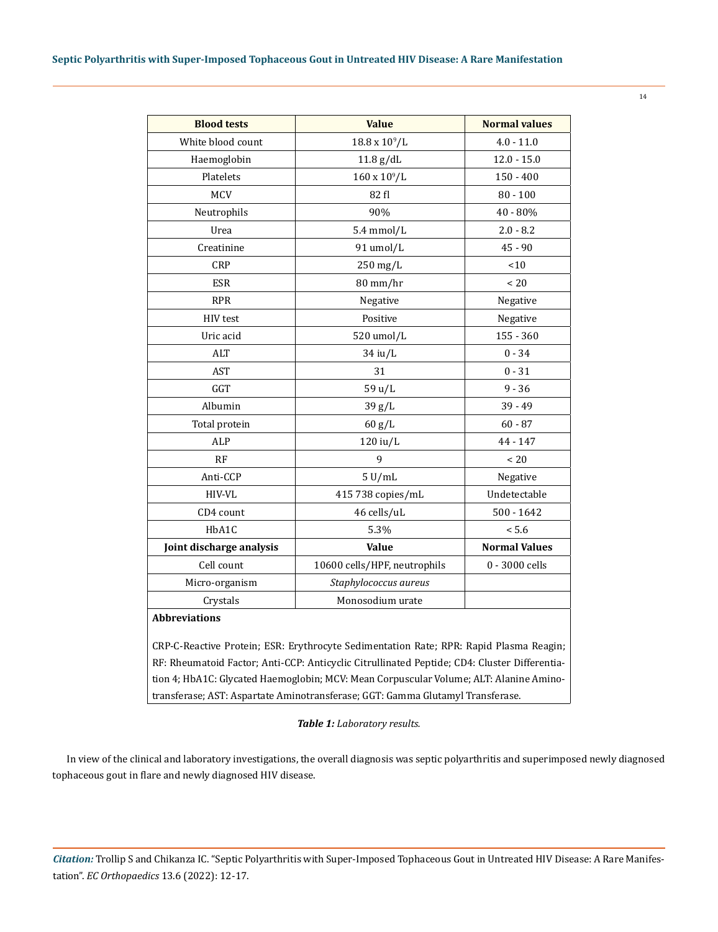| <b>Blood tests</b>                                                                           | <b>Value</b>                 | <b>Normal values</b> |
|----------------------------------------------------------------------------------------------|------------------------------|----------------------|
| White blood count                                                                            | $18.8 \times 10^9 / L$       | $4.0 - 11.0$         |
| Haemoglobin                                                                                  | $11.8$ g/dL                  | $12.0 - 15.0$        |
| Platelets                                                                                    | $160 \times 10^{9}$ /L       | $150 - 400$          |
| <b>MCV</b>                                                                                   | 82 fl                        | $80 - 100$           |
| Neutrophils                                                                                  | 90%                          | 40 - 80%             |
| Urea                                                                                         | $5.4$ mmol/L                 | $2.0 - 8.2$          |
| Creatinine                                                                                   | 91 umol/L                    | $45 - 90$            |
| <b>CRP</b>                                                                                   | 250 mg/L                     | < 10                 |
| <b>ESR</b>                                                                                   | 80 mm/hr                     | $~<$ 20              |
| <b>RPR</b>                                                                                   | Negative                     | Negative             |
| HIV test                                                                                     | Positive                     | Negative             |
| Uric acid                                                                                    | 520 umol/L                   | $155 - 360$          |
| <b>ALT</b>                                                                                   | 34 iu/L                      | $0 - 34$             |
| AST                                                                                          | 31                           | $0 - 31$             |
| GGT                                                                                          | 59 u/L                       | $9 - 36$             |
| Albumin                                                                                      | 39 g/L                       | 39 - 49              |
| Total protein                                                                                | 60 g/L                       | $60 - 87$            |
| ALP                                                                                          | $120$ iu/L                   | 44 - 147             |
| RF                                                                                           | 9                            | $~<$ 20              |
| Anti-CCP                                                                                     | $5$ U/mL                     | Negative             |
| HIV-VL                                                                                       | 415 738 copies/mL            | Undetectable         |
| CD4 count                                                                                    | 46 cells/uL                  | $500 - 1642$         |
| HbA1C                                                                                        | 5.3%                         | < 5.6                |
| Joint discharge analysis                                                                     | <b>Value</b>                 | <b>Normal Values</b> |
| Cell count                                                                                   | 10600 cells/HPF, neutrophils | 0 - 3000 cells       |
| Micro-organism                                                                               | Staphylococcus aureus        |                      |
| Crystals                                                                                     | Monosodium urate             |                      |
| <b>Abbreviations</b>                                                                         |                              |                      |
| CRP-C-Reactive Protein; ESR: Erythrocyte Sedimentation Rate; RPR: Rapid Plasma Reagin;       |                              |                      |
| RF: Rheumatoid Factor; Anti-CCP: Anticyclic Citrullinated Peptide; CD4: Cluster Differentia- |                              |                      |
| tion 4; HbA1C: Glycated Haemoglobin; MCV: Mean Corpuscular Volume; ALT: Alanine Amino-       |                              |                      |

transferase; AST: Aspartate Aminotransferase; GGT: Gamma Glutamyl Transferase.

#### *Table 1: Laboratory results.*

In view of the clinical and laboratory investigations, the overall diagnosis was septic polyarthritis and superimposed newly diagnosed tophaceous gout in flare and newly diagnosed HIV disease.

*Citation:* Trollip S and Chikanza IC. "Septic Polyarthritis with Super-Imposed Tophaceous Gout in Untreated HIV Disease: A Rare Manifestation". *EC Orthopaedics* 13.6 (2022): 12-17.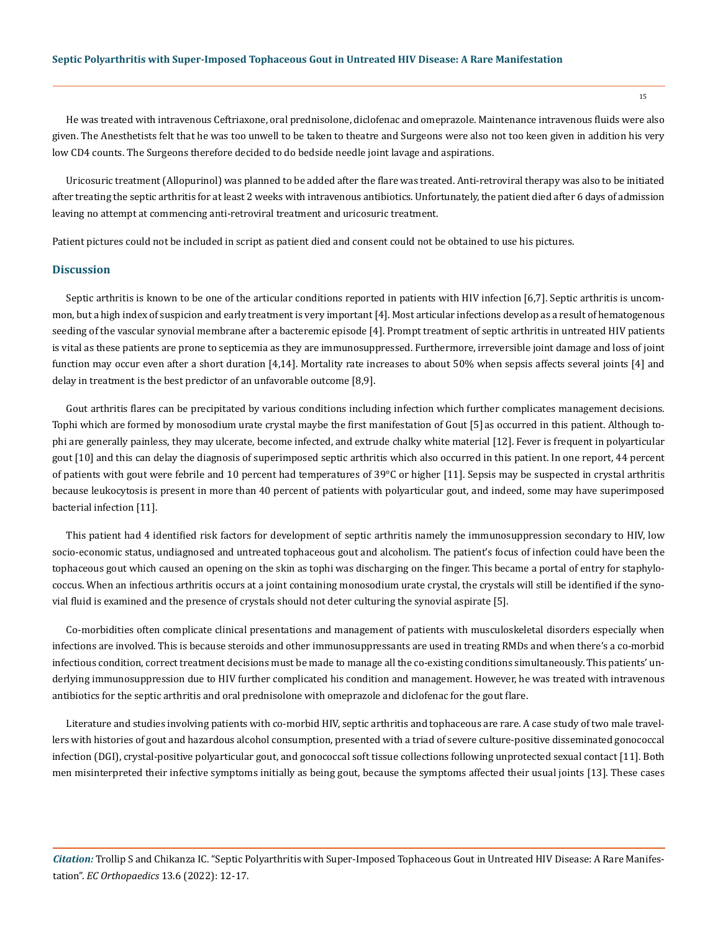He was treated with intravenous Ceftriaxone, oral prednisolone, diclofenac and omeprazole. Maintenance intravenous fluids were also given. The Anesthetists felt that he was too unwell to be taken to theatre and Surgeons were also not too keen given in addition his very low CD4 counts. The Surgeons therefore decided to do bedside needle joint lavage and aspirations.

Uricosuric treatment (Allopurinol) was planned to be added after the flare was treated. Anti-retroviral therapy was also to be initiated after treating the septic arthritis for at least 2 weeks with intravenous antibiotics. Unfortunately, the patient died after 6 days of admission leaving no attempt at commencing anti-retroviral treatment and uricosuric treatment.

Patient pictures could not be included in script as patient died and consent could not be obtained to use his pictures.

#### **Discussion**

Septic arthritis is known to be one of the articular conditions reported in patients with HIV infection [6,7]. Septic arthritis is uncommon, but a high index of suspicion and early treatment is very important [4]. Most articular infections develop as a result of hematogenous seeding of the vascular synovial membrane after a bacteremic episode [4]. Prompt treatment of septic arthritis in untreated HIV patients is vital as these patients are prone to septicemia as they are immunosuppressed. Furthermore, irreversible joint damage and loss of joint function may occur even after a short duration [4,14]. Mortality rate increases to about 50% when sepsis affects several joints [4] and delay in treatment is the best predictor of an unfavorable outcome [8,9].

Gout arthritis flares can be precipitated by various conditions including infection which further complicates management decisions. Tophi which are formed by monosodium urate crystal maybe the first manifestation of Gout [5] as occurred in this patient. Although tophi are generally painless, they may ulcerate, become infected, and extrude chalky white material [12]. Fever is frequent in polyarticular gout [10] and this can delay the diagnosis of superimposed septic arthritis which also occurred in this patient. In one report, 44 percent of patients with gout were febrile and 10 percent had temperatures of  $39^{\circ}$ C or higher [11]. Sepsis may be suspected in crystal arthritis because leukocytosis is present in more than 40 percent of patients with polyarticular gout, and indeed, some may have superimposed bacterial infection [11].

This patient had 4 identified risk factors for development of septic arthritis namely the immunosuppression secondary to HIV, low socio-economic status, undiagnosed and untreated tophaceous gout and alcoholism. The patient's focus of infection could have been the tophaceous gout which caused an opening on the skin as tophi was discharging on the finger. This became a portal of entry for staphylococcus. When an infectious arthritis occurs at a joint containing monosodium urate crystal, the crystals will still be identified if the synovial fluid is examined and the presence of crystals should not deter culturing the synovial aspirate [5].

Co-morbidities often complicate clinical presentations and management of patients with musculoskeletal disorders especially when infections are involved. This is because steroids and other immunosuppressants are used in treating RMDs and when there's a co-morbid infectious condition, correct treatment decisions must be made to manage all the co-existing conditions simultaneously. This patients' underlying immunosuppression due to HIV further complicated his condition and management. However, he was treated with intravenous antibiotics for the septic arthritis and oral prednisolone with omeprazole and diclofenac for the gout flare.

Literature and studies involving patients with co-morbid HIV, septic arthritis and tophaceous are rare. A case study of two male travellers with histories of gout and hazardous alcohol consumption, presented with a triad of severe culture-positive disseminated gonococcal infection (DGI), crystal-positive polyarticular gout, and gonococcal soft tissue collections following unprotected sexual contact [11]. Both men misinterpreted their infective symptoms initially as being gout, because the symptoms affected their usual joints [13]. These cases

*Citation:* Trollip S and Chikanza IC. "Septic Polyarthritis with Super-Imposed Tophaceous Gout in Untreated HIV Disease: A Rare Manifestation". *EC Orthopaedics* 13.6 (2022): 12-17.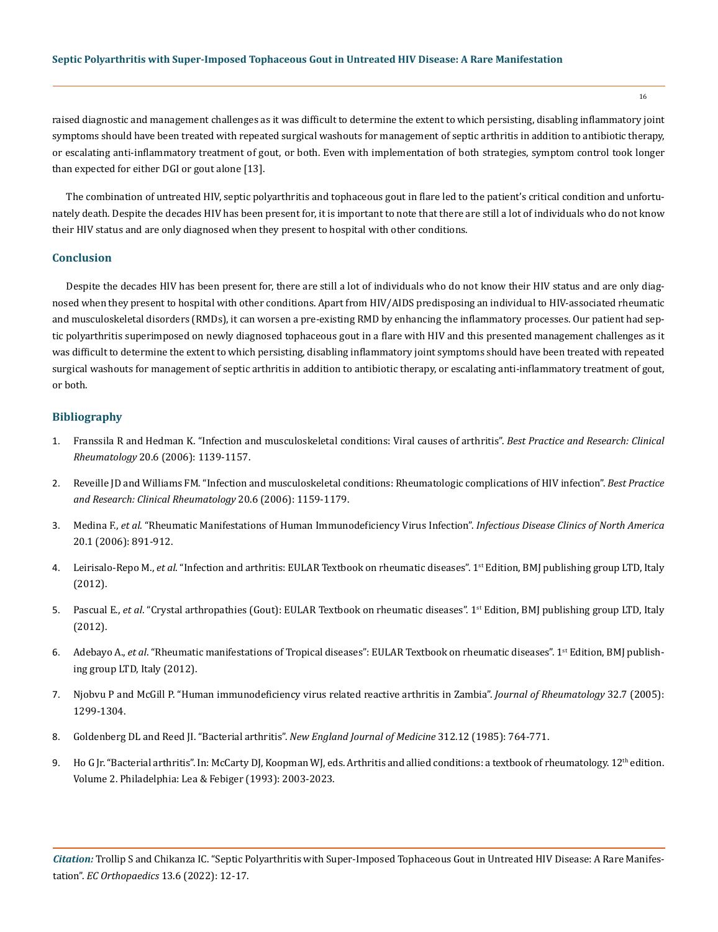#### **Septic Polyarthritis with Super-Imposed Tophaceous Gout in Untreated HIV Disease: A Rare Manifestation**

raised diagnostic and management challenges as it was difficult to determine the extent to which persisting, disabling inflammatory joint symptoms should have been treated with repeated surgical washouts for management of septic arthritis in addition to antibiotic therapy, or escalating anti-inflammatory treatment of gout, or both. Even with implementation of both strategies, symptom control took longer than expected for either DGI or gout alone [13].

The combination of untreated HIV, septic polyarthritis and tophaceous gout in flare led to the patient's critical condition and unfortunately death. Despite the decades HIV has been present for, it is important to note that there are still a lot of individuals who do not know their HIV status and are only diagnosed when they present to hospital with other conditions.

#### **Conclusion**

Despite the decades HIV has been present for, there are still a lot of individuals who do not know their HIV status and are only diagnosed when they present to hospital with other conditions. Apart from HIV/AIDS predisposing an individual to HIV-associated rheumatic and musculoskeletal disorders (RMDs), it can worsen a pre-existing RMD by enhancing the inflammatory processes. Our patient had septic polyarthritis superimposed on newly diagnosed tophaceous gout in a flare with HIV and this presented management challenges as it was difficult to determine the extent to which persisting, disabling inflammatory joint symptoms should have been treated with repeated surgical washouts for management of septic arthritis in addition to antibiotic therapy, or escalating anti-inflammatory treatment of gout, or both.

#### **Bibliography**

- 1. [Franssila R and Hedman K. "Infection and musculoskeletal conditions: Viral causes of arthritis".](https://pubmed.ncbi.nlm.nih.gov/17127201/) *Best Practice and Research: Clinical Rheumatology* [20.6 \(2006\): 1139-1157.](https://pubmed.ncbi.nlm.nih.gov/17127201/)
- 2. [Reveille JD and Williams FM. "Infection and musculoskeletal conditions: Rheumatologic complications of HIV infection".](https://pubmed.ncbi.nlm.nih.gov/17127202/) *Best Practice [and Research: Clinical Rheumatology](https://pubmed.ncbi.nlm.nih.gov/17127202/)* 20.6 (2006): 1159-1179.
- 3. Medina F., *et al*[. "Rheumatic Manifestations of Human Immunodeficiency Virus Infection".](https://pubmed.ncbi.nlm.nih.gov/18281864/) *Infectious Disease Clinics of North America*  [20.1 \(2006\): 891-912.](https://pubmed.ncbi.nlm.nih.gov/18281864/)
- 4. Leirisalo-Repo M., *et al*. "Infection and arthritis: EULAR Textbook on rheumatic diseases". 1st Edition, BMJ publishing group LTD, Italy (2012).
- 5. Pascual E., et al. "Crystal arthropathies (Gout): EULAR Textbook on rheumatic diseases". 1<sup>st</sup> Edition, BMJ publishing group LTD, Italy (2012).
- 6. Adebayo A., *et al*. "Rheumatic manifestations of Tropical diseases": EULAR Textbook on rheumatic diseases". 1st Edition, BMJ publishing group LTD, Italy (2012).
- 7. [Njobvu P and McGill P. "Human immunodeficiency virus related reactive arthritis in Zambia".](https://pubmed.ncbi.nlm.nih.gov/15996068/) *Journal of Rheumatology* 32.7 (2005): [1299-1304.](https://pubmed.ncbi.nlm.nih.gov/15996068/)
- 8. [Goldenberg DL and Reed JI. "Bacterial arthritis".](https://pubmed.ncbi.nlm.nih.gov/3883171/) *New England Journal of Medicine* 312.12 (1985): 764-771.
- 9. Ho G Jr. "Bacterial arthritis". In: McCarty DJ, Koopman WJ, eds. Arthritis and allied conditions: a textbook of rheumatology.  $12<sup>th</sup>$  edition. Volume 2. Philadelphia: Lea & Febiger (1993): 2003-2023.

*Citation:* Trollip S and Chikanza IC. "Septic Polyarthritis with Super-Imposed Tophaceous Gout in Untreated HIV Disease: A Rare Manifestation". *EC Orthopaedics* 13.6 (2022): 12-17.